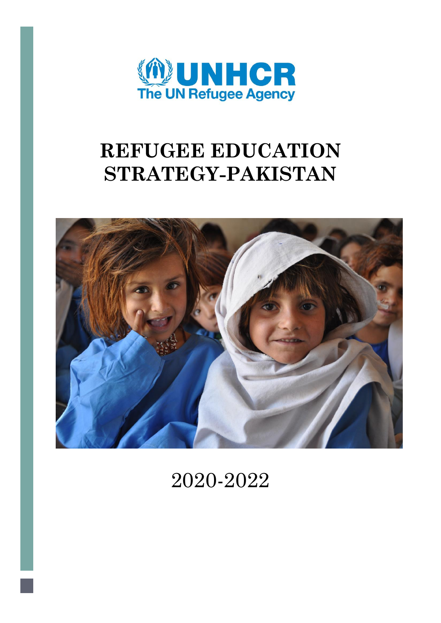

# **REFUGEE EDUCATION STRATEGY-PAKISTAN**



2020-2022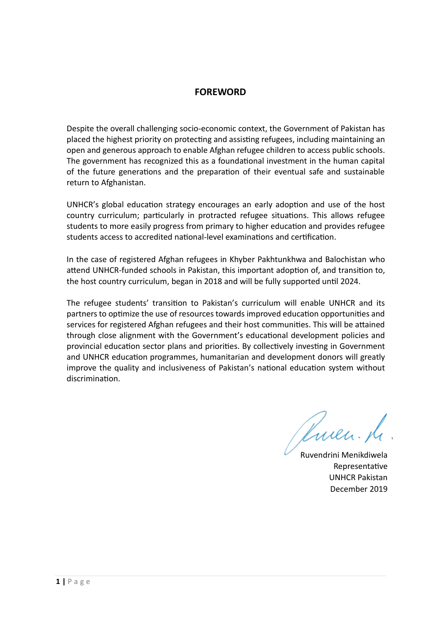#### **FOREWORD**

Despite the overall challenging socio-economic context, the Government of Pakistan has placed the highest priority on protecting and assisting refugees, including maintaining an open and generous approach to enable Afghan refugee children to access public schools. The government has recognized this as a foundational investment in the human capital of the future generations and the preparation of their eventual safe and sustainable return to Afghanistan.

UNHCR's global education strategy encourages an early adoption and use of the host country curriculum; particularly in protracted refugee situations. This allows refugee students to more easily progress from primary to higher education and provides refugee students access to accredited national-level examinations and certification.

In the case of registered Afghan refugees in Khyber Pakhtunkhwa and Balochistan who attend UNHCR-funded schools in Pakistan, this important adoption of, and transition to, the host country curriculum, began in 2018 and will be fully supported until 2024.

The refugee students' transition to Pakistan's curriculum will enable UNHCR and its partners to optimize the use of resources towards improved education opportunities and services for registered Afghan refugees and their host communities. This will be attained through close alignment with the Government's educational development policies and provincial education sector plans and priorities. By collectively investing in Government and UNHCR education programmes, humanitarian and development donors will greatly improve the quality and inclusiveness of Pakistan's national education system without discrimination.

Ruen. de

Ruvendrini Menikdiwela Representative UNHCR Pakistan December 2019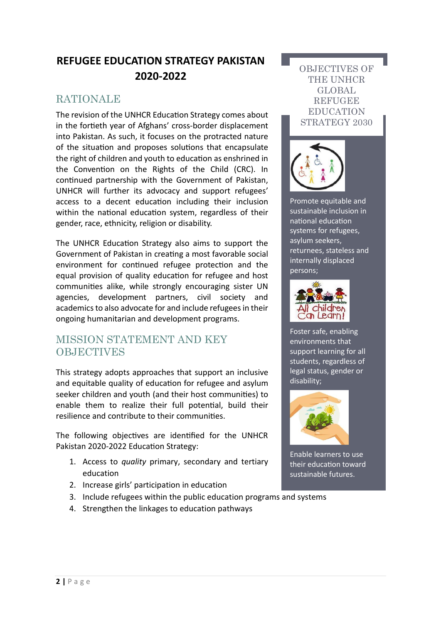### **REFUGEE EDUCATION STRATEGY PAKISTAN 2020-2022**

### **RATIONALE**

The revision of the UNHCR Education Strategy comes about in the fortieth year of Afghans' cross-border displacement into Pakistan. As such, it focuses on the protracted nature of the situation and proposes solutions that encapsulate the right of children and youth to education as enshrined in the Convention on the Rights of the Child (CRC). In continued partnership with the Government of Pakistan, UNHCR will further its advocacy and support refugees' access to a decent education including their inclusion within the national education system, regardless of their gender, race, ethnicity, religion or disability.

The UNHCR Education Strategy also aims to support the Government of Pakistan in creating a most favorable social environment for continued refugee protection and the equal provision of quality education for refugee and host communities alike, while strongly encouraging sister UN agencies, development partners, civil society and academics to also advocate for and include refugees in their ongoing humanitarian and development programs.

### MISSION STATEMENT AND KEY **OBJECTIVES**

This strategy adopts approaches that support an inclusive and equitable quality of education for refugee and asylum seeker children and youth (and their host communities) to enable them to realize their full potential, build their resilience and contribute to their communities.

The following objectives are identified for the UNHCR Pakistan 2020-2022 Education Strategy:

- 1. Access to *quality* primary, secondary and tertiary education
- 2. Increase girls' participation in education
- 3. Include refugees within the public education programs and systems
- 4. Strengthen the linkages to education pathways

#### OBJECTIVES OF THE UNHCR GLOBAL **REFUGEE** EDUCATION STRATEGY 2030



Promote equitable and sustainable inclusion in national education systems for refugees, asylum seekers, returnees, stateless and internally displaced persons;



Foster safe, enabling environments that support learning for all students, regardless of legal status, gender or disability;



Enable learners to use their education toward sustainable futures.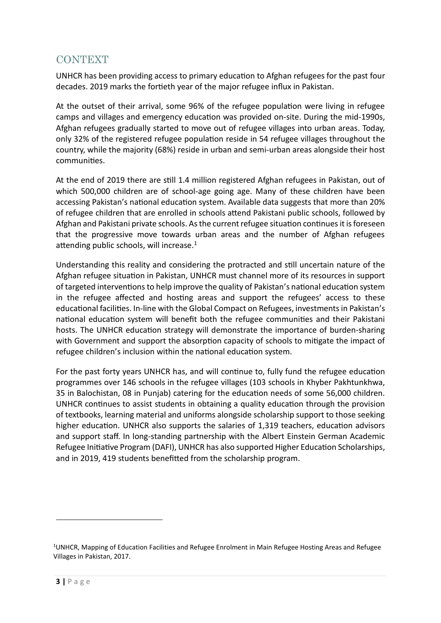### **CONTEXT**

UNHCR has been providing access to primary education to Afghan refugees for the past four decades. 2019 marks the fortieth year of the major refugee influx in Pakistan.

At the outset of their arrival, some 96% of the refugee population were living in refugee camps and villages and emergency education was provided on-site. During the mid-1990s, Afghan refugees gradually started to move out of refugee villages into urban areas. Today, only 32% of the registered refugee population reside in 54 refugee villages throughout the country, while the majority (68%) reside in urban and semi-urban areas alongside their host communities.

At the end of 2019 there are still 1.4 million registered Afghan refugees in Pakistan, out of which 500,000 children are of school-age going age. Many of these children have been accessing Pakistan's national education system. Available data suggests that more than 20% of refugee children that are enrolled in schools attend Pakistani public schools, followed by Afghan and Pakistani private schools. As the current refugee situation continues it is foreseen that the progressive move towards urban areas and the number of Afghan refugees attending public schools, will increase.<sup>1</sup>

Understanding this reality and considering the protracted and still uncertain nature of the Afghan refugee situation in Pakistan, UNHCR must channel more of its resources in support of targeted interventions to help improve the quality of Pakistan's national education system in the refugee affected and hosting areas and support the refugees' access to these educational facilities. In-line with the Global Compact on Refugees, investments in Pakistan's national education system will benefit both the refugee communities and their Pakistani hosts. The UNHCR education strategy will demonstrate the importance of burden-sharing with Government and support the absorption capacity of schools to mitigate the impact of refugee children's inclusion within the national education system.

For the past forty years UNHCR has, and will continue to, fully fund the refugee education programmes over 146 schools in the refugee villages (103 schools in Khyber Pakhtunkhwa, 35 in Balochistan, 08 in Punjab) catering for the education needs of some 56,000 children. UNHCR continues to assist students in obtaining a quality education through the provision of textbooks, learning material and uniforms alongside scholarship support to those seeking higher education. UNHCR also supports the salaries of 1,319 teachers, education advisors and support staff. In long-standing partnership with the Albert Einstein German Academic Refugee Initiative Program (DAFI), UNHCR has also supported Higher Education Scholarships, and in 2019, 419 students benefitted from the scholarship program.

 $\ddot{\phantom{a}}$ 

<sup>1</sup>UNHCR, Mapping of Education Facilities and Refugee Enrolment in Main Refugee Hosting Areas and Refugee Villages in Pakistan, 2017.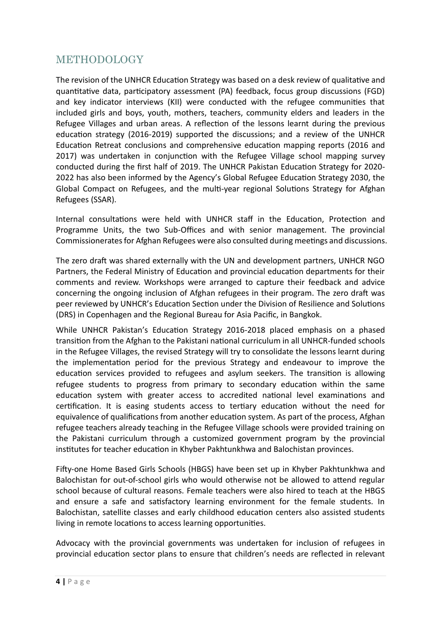### METHODOLOGY

The revision of the UNHCR Education Strategy was based on a desk review of qualitative and quantitative data, participatory assessment (PA) feedback, focus group discussions (FGD) and key indicator interviews (KII) were conducted with the refugee communities that included girls and boys, youth, mothers, teachers, community elders and leaders in the Refugee Villages and urban areas. A reflection of the lessons learnt during the previous education strategy (2016-2019) supported the discussions; and a review of the UNHCR Education Retreat conclusions and comprehensive education mapping reports (2016 and 2017) was undertaken in conjunction with the Refugee Village school mapping survey conducted during the first half of 2019. The UNHCR Pakistan Education Strategy for 2020- 2022 has also been informed by the Agency's Global Refugee Education Strategy 2030, the Global Compact on Refugees, and the multi-year regional Solutions Strategy for Afghan Refugees (SSAR).

Internal consultations were held with UNHCR staff in the Education, Protection and Programme Units, the two Sub-Offices and with senior management. The provincial Commissioneratesfor Afghan Refugees were also consulted during meetings and discussions.

The zero draft was shared externally with the UN and development partners, UNHCR NGO Partners, the Federal Ministry of Education and provincial education departments for their comments and review. Workshops were arranged to capture their feedback and advice concerning the ongoing inclusion of Afghan refugees in their program. The zero draft was peer reviewed by UNHCR's Education Section under the Division of Resilience and Solutions (DRS) in Copenhagen and the Regional Bureau for Asia Pacific, in Bangkok.

While UNHCR Pakistan's Education Strategy 2016-2018 placed emphasis on a phased transition from the Afghan to the Pakistani national curriculum in all UNHCR-funded schools in the Refugee Villages, the revised Strategy will try to consolidate the lessons learnt during the implementation period for the previous Strategy and endeavour to improve the education services provided to refugees and asylum seekers. The transition is allowing refugee students to progress from primary to secondary education within the same education system with greater access to accredited national level examinations and certification. It is easing students access to tertiary education without the need for equivalence of qualifications from another education system. As part of the process, Afghan refugee teachers already teaching in the Refugee Village schools were provided training on the Pakistani curriculum through a customized government program by the provincial institutes for teacher education in Khyber Pakhtunkhwa and Balochistan provinces.

Fifty-one Home Based Girls Schools (HBGS) have been set up in Khyber Pakhtunkhwa and Balochistan for out-of-school girls who would otherwise not be allowed to attend regular school because of cultural reasons. Female teachers were also hired to teach at the HBGS and ensure a safe and satisfactory learning environment for the female students. In Balochistan, satellite classes and early childhood education centers also assisted students living in remote locations to access learning opportunities.

Advocacy with the provincial governments was undertaken for inclusion of refugees in provincial education sector plans to ensure that children's needs are reflected in relevant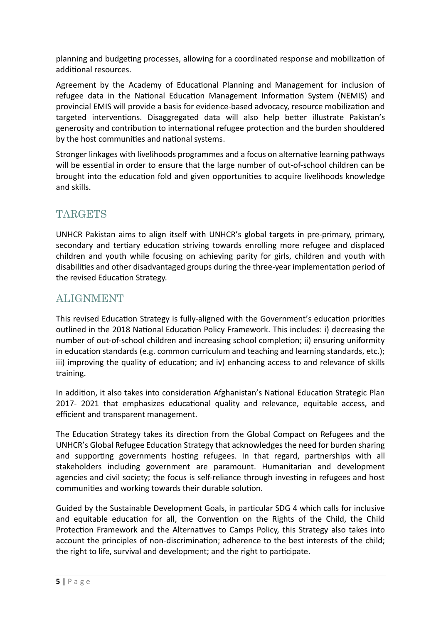planning and budgeting processes, allowing for a coordinated response and mobilization of additional resources.

Agreement by the Academy of Educational Planning and Management for inclusion of refugee data in the National Education Management Information System (NEMIS) and provincial EMIS will provide a basis for evidence-based advocacy, resource mobilization and targeted interventions. Disaggregated data will also help better illustrate Pakistan's generosity and contribution to international refugee protection and the burden shouldered by the host communities and national systems.

Stronger linkages with livelihoods programmes and a focus on alternative learning pathways will be essential in order to ensure that the large number of out-of-school children can be brought into the education fold and given opportunities to acquire livelihoods knowledge and skills.

### **TARGETS**

UNHCR Pakistan aims to align itself with UNHCR's global targets in pre-primary, primary, secondary and tertiary education striving towards enrolling more refugee and displaced children and youth while focusing on achieving parity for girls, children and youth with disabilities and other disadvantaged groups during the three-year implementation period of the revised Education Strategy.

### ALIGNMENT

This revised Education Strategy is fully-aligned with the Government's education priorities outlined in the 2018 National Education Policy Framework. This includes: i) decreasing the number of out-of-school children and increasing school completion; ii) ensuring uniformity in education standards (e.g. common curriculum and teaching and learning standards, etc.); iii) improving the quality of education; and iv) enhancing access to and relevance of skills training.

In addition, it also takes into consideration Afghanistan's National Education Strategic Plan 2017- 2021 that emphasizes educational quality and relevance, equitable access, and efficient and transparent management.

The Education Strategy takes its direction from the Global Compact on Refugees and the UNHCR's Global Refugee Education Strategy that acknowledges the need for burden sharing and supporting governments hosting refugees. In that regard, partnerships with all stakeholders including government are paramount. Humanitarian and development agencies and civil society; the focus is self-reliance through investing in refugees and host communities and working towards their durable solution.

Guided by the Sustainable Development Goals, in particular SDG 4 which calls for inclusive and equitable education for all, the Convention on the Rights of the Child, the Child Protection Framework and the Alternatives to Camps Policy, this Strategy also takes into account the principles of non-discrimination; adherence to the best interests of the child; the right to life, survival and development; and the right to participate.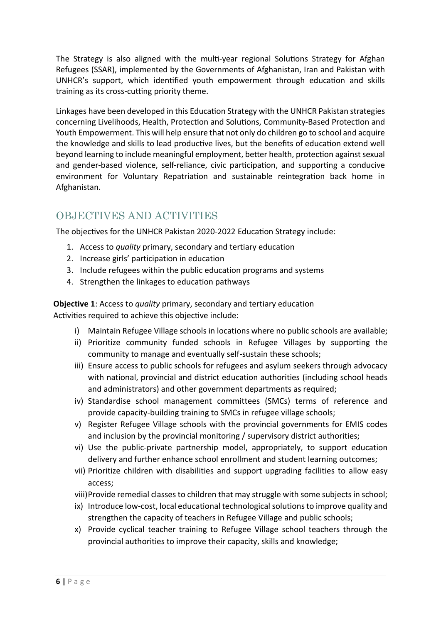The Strategy is also aligned with the multi-year regional Solutions Strategy for Afghan Refugees (SSAR), implemented by the Governments of Afghanistan, Iran and Pakistan with UNHCR's support, which identified youth empowerment through education and skills training as its cross-cutting priority theme.

Linkages have been developed in this Education Strategy with the UNHCR Pakistan strategies concerning Livelihoods, Health, Protection and Solutions, Community-Based Protection and Youth Empowerment. This will help ensure that not only do children go to school and acquire the knowledge and skills to lead productive lives, but the benefits of education extend well beyond learning to include meaningful employment, better health, protection against sexual and gender-based violence, self-reliance, civic participation, and supporting a conducive environment for Voluntary Repatriation and sustainable reintegration back home in Afghanistan.

### OBJECTIVES AND ACTIVITIES

The objectives for the UNHCR Pakistan 2020-2022 Education Strategy include:

- 1. Access to *quality* primary, secondary and tertiary education
- 2. Increase girls' participation in education
- 3. Include refugees within the public education programs and systems
- 4. Strengthen the linkages to education pathways

**Objective 1**: Access to *quality* primary, secondary and tertiary education Activities required to achieve this objective include:

- i) Maintain Refugee Village schools in locations where no public schools are available;
- ii) Prioritize community funded schools in Refugee Villages by supporting the community to manage and eventually self-sustain these schools;
- iii) Ensure access to public schools for refugees and asylum seekers through advocacy with national, provincial and district education authorities (including school heads and administrators) and other government departments as required;
- iv) Standardise school management committees (SMCs) terms of reference and provide capacity-building training to SMCs in refugee village schools;
- v) Register Refugee Village schools with the provincial governments for EMIS codes and inclusion by the provincial monitoring / supervisory district authorities;
- vi) Use the public-private partnership model, appropriately, to support education delivery and further enhance school enrollment and student learning outcomes;
- vii) Prioritize children with disabilities and support upgrading facilities to allow easy access;
- viii)Provide remedial classes to children that may struggle with some subjects in school;
- ix) Introduce low-cost, local educational technological solutions to improve quality and strengthen the capacity of teachers in Refugee Village and public schools;
- x) Provide cyclical teacher training to Refugee Village school teachers through the provincial authorities to improve their capacity, skills and knowledge;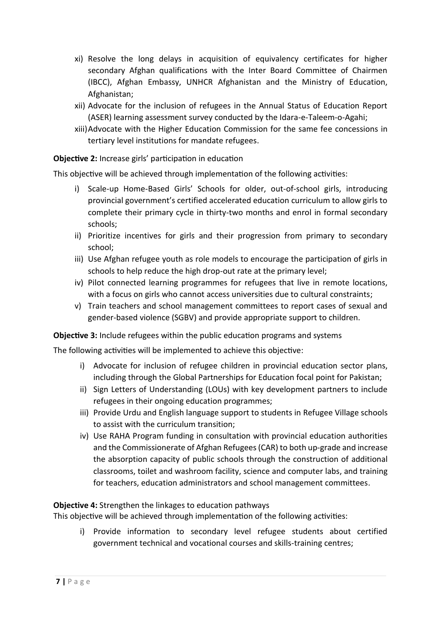- xi) Resolve the long delays in acquisition of equivalency certificates for higher secondary Afghan qualifications with the Inter Board Committee of Chairmen (IBCC), Afghan Embassy, UNHCR Afghanistan and the Ministry of Education, Afghanistan;
- xii) Advocate for the inclusion of refugees in the Annual Status of Education Report (ASER) learning assessment survey conducted by the Idara-e-Taleem-o-Agahi;
- xiii)Advocate with the Higher Education Commission for the same fee concessions in tertiary level institutions for mandate refugees.

**Objective 2:** Increase girls' participation in education

This objective will be achieved through implementation of the following activities:

- i) Scale-up Home-Based Girls' Schools for older, out-of-school girls, introducing provincial government's certified accelerated education curriculum to allow girls to complete their primary cycle in thirty-two months and enrol in formal secondary schools;
- ii) Prioritize incentives for girls and their progression from primary to secondary school;
- iii) Use Afghan refugee youth as role models to encourage the participation of girls in schools to help reduce the high drop-out rate at the primary level;
- iv) Pilot connected learning programmes for refugees that live in remote locations, with a focus on girls who cannot access universities due to cultural constraints;
- v) Train teachers and school management committees to report cases of sexual and gender-based violence (SGBV) and provide appropriate support to children.

**Objective 3:** Include refugees within the public education programs and systems

The following activities will be implemented to achieve this objective:

- i) Advocate for inclusion of refugee children in provincial education sector plans, including through the Global Partnerships for Education focal point for Pakistan;
- ii) Sign Letters of Understanding (LOUs) with key development partners to include refugees in their ongoing education programmes;
- iii) Provide Urdu and English language support to students in Refugee Village schools to assist with the curriculum transition;
- iv) Use RAHA Program funding in consultation with provincial education authorities and the Commissionerate of Afghan Refugees (CAR) to both up-grade and increase the absorption capacity of public schools through the construction of additional classrooms, toilet and washroom facility, science and computer labs, and training for teachers, education administrators and school management committees.

#### **Objective 4:** Strengthen the linkages to education pathways

This objective will be achieved through implementation of the following activities:

i) Provide information to secondary level refugee students about certified government technical and vocational courses and skills-training centres;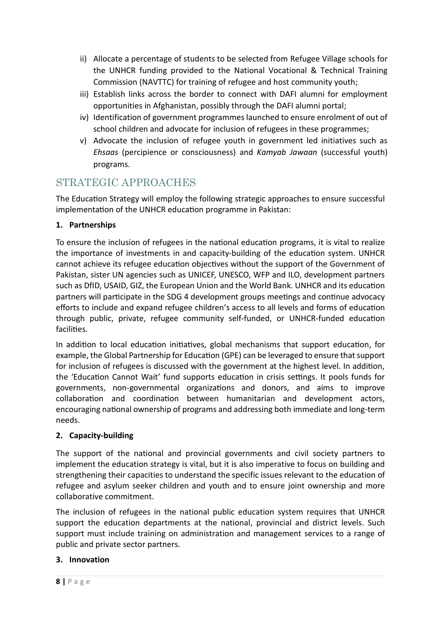- ii) Allocate a percentage of students to be selected from Refugee Village schools for the UNHCR funding provided to the National Vocational & Technical Training Commission (NAVTTC) for training of refugee and host community youth;
- iii) Establish links across the border to connect with DAFI alumni for employment opportunities in Afghanistan, possibly through the DAFI alumni portal;
- iv) Identification of government programmes launched to ensure enrolment of out of school children and advocate for inclusion of refugees in these programmes;
- v) Advocate the inclusion of refugee youth in government led initiatives such as *Ehsaas* (percipience or consciousness) and *Kamyab Jawaan* (successful youth) programs.

### STRATEGIC APPROACHES

The Education Strategy will employ the following strategic approaches to ensure successful implementation of the UNHCR education programme in Pakistan:

#### **1. Partnerships**

To ensure the inclusion of refugees in the national education programs, it is vital to realize the importance of investments in and capacity-building of the education system. UNHCR cannot achieve its refugee education objectives without the support of the Government of Pakistan, sister UN agencies such as UNICEF, UNESCO, WFP and ILO, development partners such as DfID, USAID, GIZ, the European Union and the World Bank. UNHCR and its education partners will participate in the SDG 4 development groups meetings and continue advocacy efforts to include and expand refugee children's access to all levels and forms of education through public, private, refugee community self-funded, or UNHCR-funded education facilities.

In addition to local education initiatives, global mechanisms that support education, for example, the Global Partnership for Education (GPE) can be leveraged to ensure that support for inclusion of refugees is discussed with the government at the highest level. In addition, the 'Education Cannot Wait' fund supports education in crisis settings. It pools funds for governments, non-governmental organizations and donors, and aims to improve collaboration and coordination between humanitarian and development actors, encouraging national ownership of programs and addressing both immediate and long-term needs.

#### **2. Capacity-building**

The support of the national and provincial governments and civil society partners to implement the education strategy is vital, but it is also imperative to focus on building and strengthening their capacities to understand the specific issues relevant to the education of refugee and asylum seeker children and youth and to ensure joint ownership and more collaborative commitment.

The inclusion of refugees in the national public education system requires that UNHCR support the education departments at the national, provincial and district levels. Such support must include training on administration and management services to a range of public and private sector partners.

#### **3. Innovation**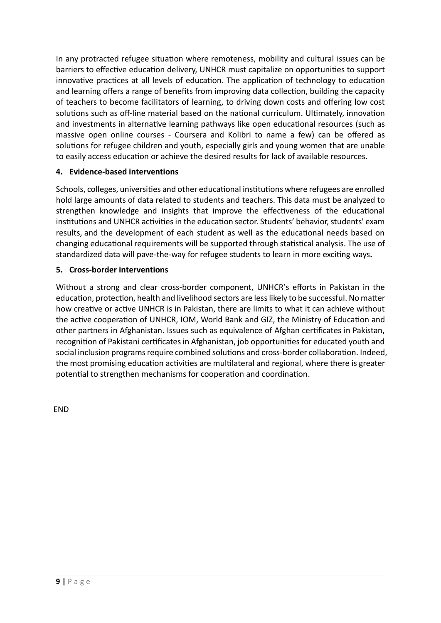In any protracted refugee situation where remoteness, mobility and cultural issues can be barriers to effective education delivery, UNHCR must capitalize on opportunities to support innovative practices at all levels of education. The application of technology to education and learning offers a range of benefits from improving data collection, building the capacity of teachers to become facilitators of learning, to driving down costs and offering low cost solutions such as off-line material based on the national curriculum. Ultimately, innovation and investments in alternative learning pathways like open educational resources (such as massive open online courses - Coursera and Kolibri to name a few) can be offered as solutions for refugee children and youth, especially girls and young women that are unable to easily access education or achieve the desired results for lack of available resources.

#### **4. Evidence-based interventions**

Schools, colleges, universities and other educational institutions where refugees are enrolled hold large amounts of data related to students and teachers. This data must be analyzed to strengthen knowledge and insights that improve the effectiveness of the educational institutions and UNHCR activities in the education sector. Students' behavior, students' exam results, and the development of each student as well as the educational needs based on changing educational requirements will be supported through statistical analysis. The use of standardized data will pave-the-way for refugee students to learn in more exciting ways**.**

#### **5. Cross-border interventions**

Without a strong and clear cross-border component, UNHCR's efforts in Pakistan in the education, protection, health and livelihood sectors are less likely to be successful. No matter how creative or active UNHCR is in Pakistan, there are limits to what it can achieve without the active cooperation of UNHCR, IOM, World Bank and GIZ, the Ministry of Education and other partners in Afghanistan. Issues such as equivalence of Afghan certificates in Pakistan, recognition of Pakistani certificates in Afghanistan, job opportunities for educated youth and social inclusion programs require combined solutions and cross-border collaboration. Indeed, the most promising education activities are multilateral and regional, where there is greater potential to strengthen mechanisms for cooperation and coordination.

END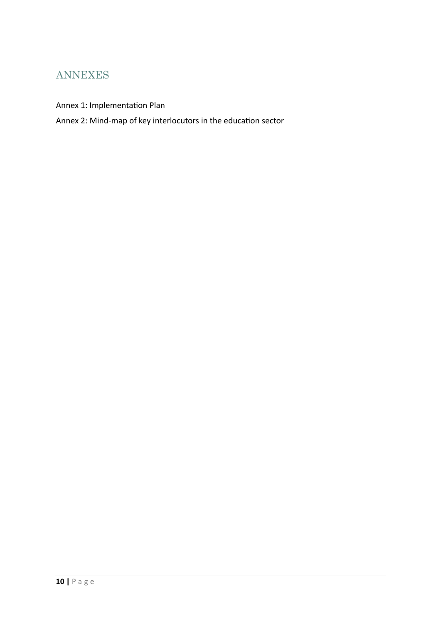### ANNEXES

Annex 1: Implementation Plan

Annex 2: Mind-map of key interlocutors in the education sector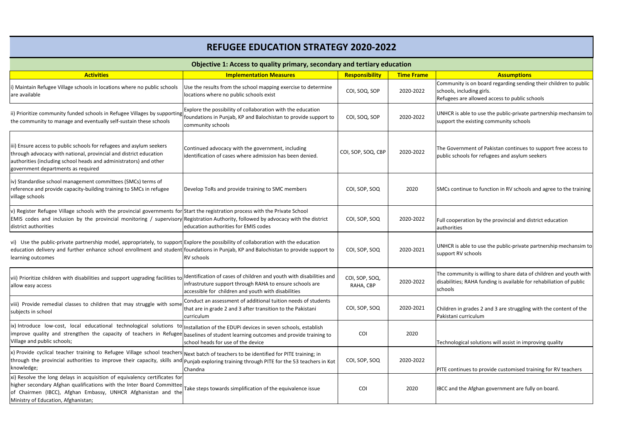| Objective 1: Access to quality primary, secondary and tertiary education                                                                                                                                                                                                                               |                                                                                                                                            |                             |                   |                                                                                                                 |  |  |
|--------------------------------------------------------------------------------------------------------------------------------------------------------------------------------------------------------------------------------------------------------------------------------------------------------|--------------------------------------------------------------------------------------------------------------------------------------------|-----------------------------|-------------------|-----------------------------------------------------------------------------------------------------------------|--|--|
| <b>Activities</b>                                                                                                                                                                                                                                                                                      | <b>Implementation Measures</b>                                                                                                             | <b>Responsibility</b>       | <b>Time Frame</b> | <b>Assumptions</b>                                                                                              |  |  |
| Maintain Refugee Village schools in locations where no public schools<br>are available                                                                                                                                                                                                                 | Use the results from the school mapping exercise to determine<br>locations where no public schools exist                                   | COI, SOQ, SOP               | 2020-2022         | Community is on board regarding sendir<br>schools, including girls.<br>Refugees are allowed access to public so |  |  |
| ii) Prioritize community funded schools in Refugee Villages by supporting foundations in Punjab, KP and Balochistan to provide support to<br>the community to manage and eventually self-sustain these schools                                                                                         | Explore the possibility of collaboration with the education<br>community schools                                                           | COI, SOQ, SOP               | 2020-2022         | UNHCR is able to use the public-private<br>support the existing community schools                               |  |  |
| iii) Ensure access to public schools for refugees and asylum seekers<br>through advocacy with national, provincial and district education<br>authorities (including school heads and administrators) and other<br>government departments as required                                                   | Continued advocacy with the government, including<br>lidentification of cases where admission has been denied.                             | COI, SOP, SOQ, CBP          | 2020-2022         | The Government of Pakistan continues t<br>public schools for refugees and asylum s                              |  |  |
| iv) Standardise school management committees (SMCs) terms of<br>reference and provide capacity-building training to SMCs in refugee<br>village schools                                                                                                                                                 | Develop ToRs and provide training to SMC members                                                                                           | COI, SOP, SOQ               | 2020              | SMCs continue to function in RV schools                                                                         |  |  |
| v) Register Refugee Village schools with the provincial governments for Start the registration process with the Private School<br>EMIS codes and inclusion by the provincial monitoring / supervisory Registration Authority, followed by advocacy with the district<br>district authorities           | education authorities for EMIS codes                                                                                                       | COI, SOP, SOQ               | 2020-2022         | Full cooperation by the provincial and di<br>authorities                                                        |  |  |
| vi) Use the public-private partnership model, appropriately, to support Explore the possibility of collaboration with the education<br>education delivery and further enhance school enrollment and student foundations in Punjab, KP and Balochistan to provide support to<br>learning outcomes       | <b>RV</b> schools                                                                                                                          | COI, SOP, SOQ               | 2020-2021         | UNHCR is able to use the public-private<br>support RV schools                                                   |  |  |
| vii) Prioritize children with disabilities and support upgrading facilities to Identification of cases of children and youth with disabilities and<br>allow easy access                                                                                                                                | infrastruture support through RAHA to ensure schools are<br>accessible for children and youth with disabilities                            | COI, SOP, SOQ,<br>RAHA, CBP | 2020-2022         | The community is willing to share data o<br>disabilities; RAHA funding is available for<br>schools              |  |  |
| viii) Provide remedial classes to children that may struggle with some<br>subjects in school                                                                                                                                                                                                           | Conduct an assessment of additional tuition needs of students<br>that are in grade 2 and 3 after transition to the Pakistani<br>curriculum | COI, SOP, SOQ               | 2020-2021         | Children in grades 2 and 3 are struggling<br>Pakistani curriculum                                               |  |  |
| ix) Introduce low-cost, local educational technological solutions to Installation of the EDUPi devices in seven schools, establish<br>improve quality and strengthen the capacity of teachers in Refugee baselines of student learning outcomes and provide training to<br>Village and public schools; | school heads for use of the device                                                                                                         | COI                         | 2020              | Technological solutions will assist in imp                                                                      |  |  |
| x) Provide cyclical teacher training to Refugee Village school teachers Next batch of teachers to be identified for PITE training; in<br>through the provincial authorities to improve their capacity, skills and punjab exploring training through PITE for the 53 teachers in Kot<br>knowledge;      | Chandna                                                                                                                                    | COI, SOP, SOQ               | 2020-2022         | PITE continues to provide customised tra                                                                        |  |  |
| xi) Resolve the long delays in acquisition of equivalency certificates for<br>higher secondary Afghan qualifications with the Inter Board Committee<br>of Chairmen (IBCC), Afghan Embassy, UNHCR Afghanistan and the<br>Ministry of Education, Afghanistan;                                            | Take steps towards simplification of the equivalence issue                                                                                 | COI                         | 2020              | IBCC and the Afghan government are ful                                                                          |  |  |

s on board regarding sending their children to public ding girls.

allowed access to public schools

e to use the public-private partnership mechansim to xisting community schools

ent of Pakistan continues to support free access to s for refugees and asylum seekers

ae to function in RV schools and agree to the training

ion by the provincial and district education

e to use the public-private partnership mechansim to hools

ity is willing to share data of children and youth with AHA funding is available for rehabiliation of public

ades 2 and 3 are struggling with the content of the iculum

I solutions will assist in improving quality

Is to provide customised training for RV teachers

Afghan government are fully on board.

## **REFUGEE EDUCATION STRATEGY 2020-2022**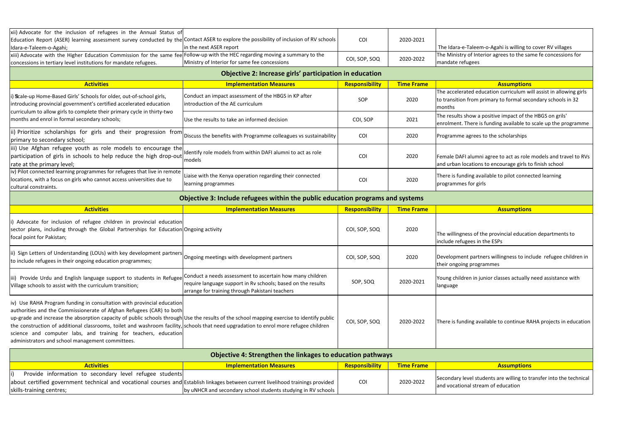|                                                                                                                                                                                                                                                                                                                                                                                                                                                                                                                                                             | <b>Objective 4: Strengthen the linkages to education pathways</b>                                               |                       |                   |                                                                                              |
|-------------------------------------------------------------------------------------------------------------------------------------------------------------------------------------------------------------------------------------------------------------------------------------------------------------------------------------------------------------------------------------------------------------------------------------------------------------------------------------------------------------------------------------------------------------|-----------------------------------------------------------------------------------------------------------------|-----------------------|-------------------|----------------------------------------------------------------------------------------------|
| iv) Use RAHA Program funding in consultation with provincial education<br>authorities and the Commissionerate of Afghan Refugees (CAR) to both<br>up-grade and increase the absorption capacity of public schools through Use the results of the school mapping exercise to identify public<br>the construction of additional classrooms, toilet and washroom facility, schools that need upgradation to enrol more refugee children<br>science and computer labs, and training for teachers, education<br>administrators and school management committees. |                                                                                                                 | COI, SOP, SOQ         | 2020-2022         | There is funding available to continue R/                                                    |
| iii) Provide Urdu and English language support to students in Refugee Conduct a needs assessment to ascertain how many children<br>Village schools to assist with the curriculum transition;                                                                                                                                                                                                                                                                                                                                                                | require language support in Ry schools; based on the results<br>arrange for training through Pakistani teachers | SOP, SOQ              | 2020-2021         | Young children in junior classes actually<br>language                                        |
| ii) Sign Letters of Understanding (LOUs) with key development partners<br>to include refugees in their ongoing education programmes;                                                                                                                                                                                                                                                                                                                                                                                                                        | Ongoing meetings with development partners                                                                      | COI, SOP, SOQ         | 2020              | Development partners willingness to inc<br>their ongoing programmes                          |
| i) Advocate for inclusion of refugee children in provincial education<br>sector plans, including through the Global Partnerships for Education Ongoing activity<br>focal point for Pakistan;                                                                                                                                                                                                                                                                                                                                                                |                                                                                                                 | COI, SOP, SOQ         | 2020              | The willingness of the provincial educati<br>include refugees in the ESPs                    |
| <b>Activities</b>                                                                                                                                                                                                                                                                                                                                                                                                                                                                                                                                           | <b>Implementation Measures</b>                                                                                  | <b>Responsibility</b> | <b>Time Frame</b> | <b>Assumptions</b>                                                                           |
| cultural constraints.                                                                                                                                                                                                                                                                                                                                                                                                                                                                                                                                       | learning programmes<br>Objective 3: Include refugees within the public education programs and systems           |                       |                   | programmes for girls                                                                         |
| iv) Pilot connected learning programmes for refugees that live in remote<br>locations, with a focus on girls who cannot access universities due to                                                                                                                                                                                                                                                                                                                                                                                                          | Liaise with the Kenya operation regarding their connected                                                       | COI                   | 2020              | There is funding available to pilot conne                                                    |
| iii) Use Afghan refugee youth as role models to encourage the<br>participation of girls in schools to help reduce the high drop-out<br>rate at the primary level;                                                                                                                                                                                                                                                                                                                                                                                           | Identify role models from within DAFI alumni to act as role<br>models                                           | COI                   | 2020              | Female DAFI alumni agree to act as role<br>and urban locations to encourage girls to         |
| ii) Prioritize scholarships for girls and their progression from<br>primary to secondary school;                                                                                                                                                                                                                                                                                                                                                                                                                                                            | Discuss the benefits with Programme colleagues vs sustainability                                                | COI                   | 2020              | Programme agrees to the scholarships                                                         |
| curriculum to allow girls to complete their primary cycle in thirty-two<br>months and enrol in formal secondary schools;                                                                                                                                                                                                                                                                                                                                                                                                                                    | Use the results to take an informed decision                                                                    | COI, SOP              | 2021              | The results show a positive impact of the<br>enrolment. There is funding available to        |
| i) Scale-up Home-Based Girls' Schools for older, out-of-school girls,<br>introducing provincial government's certified accelerated education                                                                                                                                                                                                                                                                                                                                                                                                                | Conduct an impact assessment of the HBGS in KP after<br>introduction of the AE curriculum                       | SOP                   | 2020              | The accelerated education curriculum w<br>to transition from primary to formal sec<br>months |
| <b>Activities</b>                                                                                                                                                                                                                                                                                                                                                                                                                                                                                                                                           | <b>Implementation Measures</b>                                                                                  | <b>Responsibility</b> | <b>Time Frame</b> | <b>Assumptions</b>                                                                           |
|                                                                                                                                                                                                                                                                                                                                                                                                                                                                                                                                                             | Objective 2: Increase girls' participation in education                                                         |                       |                   |                                                                                              |
| xiii) Advocate with the Higher Education Commission for the same fee Follow-up with the HEC regarding moving a summary to the<br>concessions in tertiary level institutions for mandate refugees.                                                                                                                                                                                                                                                                                                                                                           | Ministry of Interior for same fee concessions                                                                   | COI, SOP, SOQ         | 2020-2022         | The Ministry of Interior agrees to the sai<br>mandate refugees                               |
| Education Report (ASER) learning assessment survey conducted by the Contact ASER to explore the possibility of inclusion of RV schools<br>Idara-e-Taleem-o-Agahi;                                                                                                                                                                                                                                                                                                                                                                                           | in the next ASER report                                                                                         | COI                   | 2020-2021         | The Idara-e-Taleem-o-Agahi is willing to                                                     |
| xii) Advocate for the inclusion of refugees in the Annual Status of                                                                                                                                                                                                                                                                                                                                                                                                                                                                                         |                                                                                                                 |                       |                   |                                                                                              |

i) Provide information to secondary level refugee students

skills-training centres;

about certified government technical and vocational courses and Establish linkages between current livelihood trainings provided

Ileem-o-Agahi is willing to cover RV villages f Interior agrees to the same fe concessions for

ed education curriculum will assist in allowing girls to transition from primary schools in 32

bw a positive impact of the HBGS on grils' ere is funding available to scale up the programme

lumni agree to act as role models and travel to RVs ations to encourage girls to finish school

Ing available to pilot connected learning or girls

of the provincial education departments to es in the ESPs

partners willingness to include refugee children in orogrammes

in junior classes actually need assistance with

ng available to continue RAHA projects in education

by uNHCR and secondary school students studying in RV schools

COI 2020-2022

Secondary level students are willing to transfer into the technical and vocational stream of education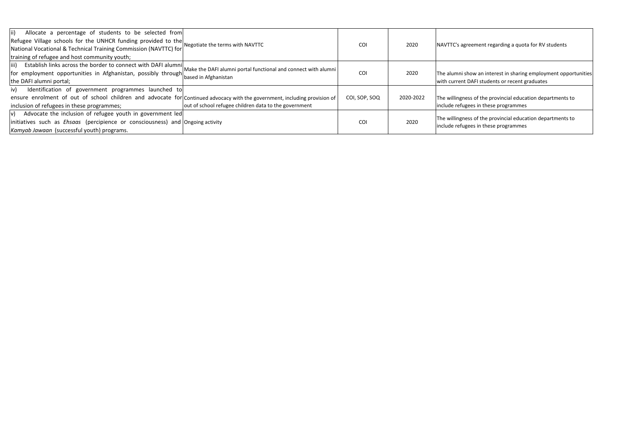| $\vert$ ii)<br>Allocate a percentage of students to be selected from<br>Refugee Village schools for the UNHCR funding provided to the<br>National Vocational & Technical Training Commission (NAVTTC) for<br>training of refugee and host community youth; | Negotiate the terms with NAVTTC                                                        | <b>COI</b>    | 2020      | NAVTTC's agre                     |
|------------------------------------------------------------------------------------------------------------------------------------------------------------------------------------------------------------------------------------------------------------|----------------------------------------------------------------------------------------|---------------|-----------|-----------------------------------|
| $\vert$ iii)<br>Establish links across the border to connect with DAFI alumni<br>for employment opportunities in Afghanistan, possibly through<br>the DAFI alumni portal;                                                                                  | Make the DAFI alumni portal functional and connect with alumni<br>based in Afghanistan | <b>COI</b>    | 2020      | The alumni sho<br>with current D  |
| Identification of government programmes launched to<br>iv)<br>ensure enrolment of out of school children and advocate for Continued advocacy with the government, including provision of<br>inclusion of refugees in these programmes;                     | out of school refugee children data to the government                                  | COI, SOP, SOQ | 2020-2022 | The willingnes<br>include refuge  |
| $ v\rangle$ Advocate the inclusion of refugee youth in government led<br>initiatives such as <i>Ehsaas</i> (percipience or consciousness) and Ongoing activity<br>Kamyab Jawaan (successful youth) programs.                                               |                                                                                        | <b>COI</b>    | 2020      | The willingnes:<br>include refuge |

eement regarding a quota for RV students

how an interest in sharing employment opportunities DAFI students or recent graduates

ss of the provincial education departments to ees in these programmes

ss of the provincial education departments to ees in these programmes